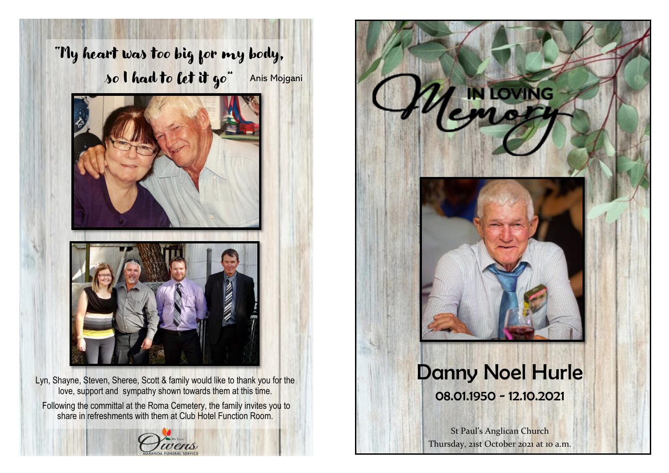

Lyn, Shayne, Steven, Sheree, Scott & family would like to thank you for the love, support and sympathy shown towards them at this time. Following the committal at the Roma Cemetery, the family invites you to share in refreshments with them at Club Hotel Function Room.





St Paul's Anglican Church Thursday, 21st October 2021 at 10 a.m.